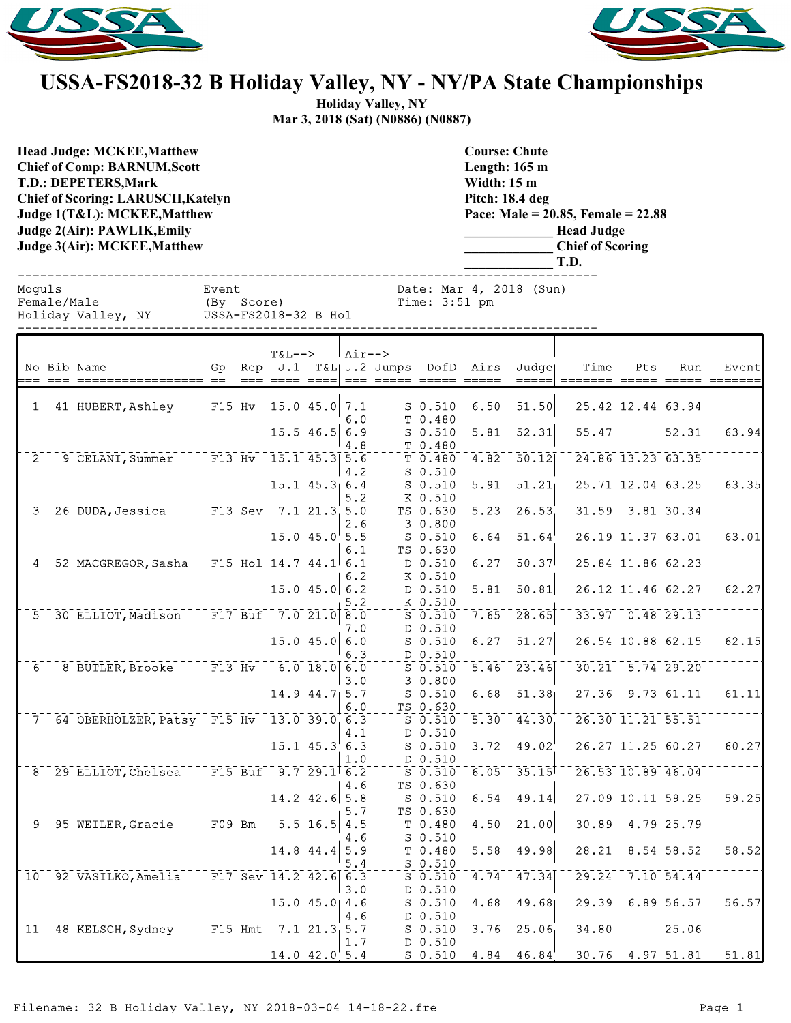



## **USSA-FS2018-32 B Holiday Valley, NY - NY/PA State Championships**

**Holiday Valley, NY Mar 3, 2018 (Sat) (N0886) (N0887)**

**Head Judge: MCKEE,Matthew Chief of Comp: BARNUM,Scott T.D.: DEPETERS,Mark Chief of Scoring: LARUSCH,Katelyn Judge 1(T&L): MCKEE,Matthew Judge 2(Air): PAWLIK,Emily Judge 3(Air): MCKEE,Matthew** 

**Course: Chute Length: 165 m Width: 15 m Pitch: 18.4 deg Pace: Male = 20.85, Female = 22.88 \_\_\_\_\_\_\_\_\_\_\_\_\_ Head Judge \_\_\_\_\_\_\_\_\_\_\_\_\_ Chief of Scoring \_\_\_\_\_\_\_\_\_\_\_\_\_ T.D.** ------------------------------------------------------------------------------

Moguls **Event** Event Date: Mar 4, 2018 (Sun)

| Female/Male |                    |  |
|-------------|--------------------|--|
|             | Holiday Valley, NY |  |
|             |                    |  |

(By Score) Time: 3:51 pm<br>Male (By Sand Time: 3:51 pm) USSA-FS2018-32 B Hol ------------------------------------------------------------------------------

|                | No Bib Name                                                                          | Gp |      | <b>T&amp;L--&gt;</b> |                    | $Air--$ | Rep  J.1 T&L  J.2 Jumps DofD Airs    |                     | Judge                              | Time          | Pts | Run                    | Event         |
|----------------|--------------------------------------------------------------------------------------|----|------|----------------------|--------------------|---------|--------------------------------------|---------------------|------------------------------------|---------------|-----|------------------------|---------------|
|                |                                                                                      |    | $==$ |                      |                    |         | ==== ====  === ===== ===== =====     |                     | $=$ $=$ $=$ $=$ $=$ $\blacksquare$ | ======= ===== |     |                        | ===== ======= |
|                |                                                                                      |    |      |                      |                    |         |                                      |                     |                                    |               |     |                        |               |
| 1 <sup>1</sup> | 41 HUBERT, Ashley F15 Hv                                                             |    |      | $15.0$ 45.0 7.1      |                    | 6.0     | $S$ 0.510<br>T 0.480                 | 6.50                | 51.50                              |               |     | 25.42 12.44 63.94      |               |
|                |                                                                                      |    |      | $15.5$ 46.5 6.9      |                    |         | $S$ 0.510                            | 5.81                | 52.31                              | 55.47         |     | 52.31                  | 63.94         |
|                |                                                                                      |    |      |                      |                    | 4.8     | T 0.480                              |                     |                                    |               |     |                        |               |
| $\bar{2}$      | 9 CELANI, Summer F13 Hv   15.1 45.3 5.6                                              |    |      |                      |                    |         | T 0.480                              | 4.82                | 50.12                              |               |     | 24.86 13.23 63.35      |               |
|                |                                                                                      |    |      |                      |                    | 4.2     | $S$ 0.510                            |                     |                                    |               |     |                        |               |
|                |                                                                                      |    |      | $15.1$ $45.3$ 6.4    |                    |         | S 0.510                              | 5.91                | 51.21                              |               |     | 25.71 12.04 63.25      | 63.35         |
|                |                                                                                      |    |      |                      |                    | 5.2     | K 0.510                              |                     |                                    |               |     |                        |               |
|                | $3^{+}_{1}$ 26 DUDA, Jessica F13 Sev, 7.1 21.3 5.0                                   |    |      |                      |                    |         | TS 0.630                             | $\overline{5.23}$   | 26.53                              |               |     | $31.59 - 3.81$ 30.34   |               |
|                |                                                                                      |    |      | $15.0$ $45.0$ $5.5$  |                    | 2.6     | 30.800                               | 6.64                | 51.64                              |               |     | $26.19$ $11.37$ 63.01  | 63.01         |
|                |                                                                                      |    |      |                      |                    | 6.1     | S 0.510<br>TS 0.630                  |                     |                                    |               |     |                        |               |
|                | 4 52 MACGREGOR, Sasha F15 Hol 14.7 44.1 6.1                                          |    |      |                      |                    |         | $D$ 0.510                            | $6.27$ <sup>T</sup> | 50.37                              |               |     | 25.84 11.86 62.23      |               |
|                |                                                                                      |    |      |                      |                    | 6.2     | K 0.510                              |                     |                                    |               |     |                        |               |
|                |                                                                                      |    |      | $15.0$ 45.0 6.2      |                    |         | D 0.510                              | 5.81                | 50.81                              |               |     | $26.12$ 11.46 62.27    | 62.27         |
|                |                                                                                      |    |      |                      |                    | 5.2     | K 0.510                              |                     |                                    |               |     |                        |               |
| 51             | 30 ELLIOT, Madison F17 Buf                                                           |    |      | $7.0$ 21.0 8.0       |                    |         | $S$ $0.510$                          | 7.65                | 28.65                              |               |     | $33.97 - 0.48$ 29.13   |               |
|                |                                                                                      |    |      |                      |                    | 7.0     | D 0.510                              |                     |                                    |               |     |                        |               |
|                |                                                                                      |    |      | $15.0$ 45.0 6.0      |                    |         | S 0.510                              | 6.27                | 51.27                              |               |     | 26.54 10.88 62.15      | 62.15         |
|                |                                                                                      |    |      |                      |                    | 6.3     | D 0.510                              |                     |                                    |               |     |                        |               |
| $\overline{6}$ | 8 BUTLER, Brooke F13 Hv   6.0 18.0 6.0                                               |    |      |                      |                    |         | $S$ 0.510                            | $\overline{5.46}$   | 23.46                              |               |     | $30.21 - 5.74$ 29.20   |               |
|                |                                                                                      |    |      | $14.9$ $44.7$ 5.7    |                    | 3.0     | 30.800<br>$S$ 0.510                  | 6.68                | 51.38                              |               |     | $27.36$ $9.73$ $61.11$ | 61.11         |
|                |                                                                                      |    |      |                      |                    | 6.0     | TS 0.630                             |                     |                                    |               |     |                        |               |
|                | 7 64 OBERHOLZER, Patsy F15 Hv 13.0 39.0 6.3                                          |    |      |                      |                    |         | $\overline{s}$ $\overline{0.510}$    | $\overline{5.30}$   | 44.30                              |               |     | 26.30 11.21 55.51      |               |
|                |                                                                                      |    |      |                      |                    | 4.1     | D 0.510                              |                     |                                    |               |     |                        |               |
|                |                                                                                      |    |      | $15.1$ $45.3$ 6.3    |                    |         | $S$ 0.510                            | 3.72                | 49.02                              |               |     | $26.27$ $11.25$ 60.27  | 60.27         |
|                |                                                                                      |    |      |                      |                    | 1.0     | D 0.510                              |                     |                                    |               |     |                        |               |
|                | $8^{\dagger}$ 29 ELLIOT, Chelsea F15 Buf <sup>1</sup> 9.7 29.1 <sup>1</sup> 6.2      |    |      |                      |                    |         | $S_{0.510}$                          | $6.05$ <sup>T</sup> | 35.15                              |               |     | 26.53 10.89 46.04      |               |
|                |                                                                                      |    |      |                      |                    | 4.6     | TS 0.630                             |                     |                                    |               |     |                        |               |
|                |                                                                                      |    |      | $14.2$ 42.6 5.8      |                    |         | $S$ 0.510                            | 6.54                | 49.14                              |               |     | $27.09$ 10.11 59.25    | 59.25         |
|                | 95 WEILER, Gracie F09 Bm                                                             |    |      |                      | $5.5$ $16.5$ $4.5$ | 5.7     | TS 0.630<br>$T_{\overline{1}}$ 0.480 | 4.50                | 21.00                              |               |     | $30.89 - 4.79$ 25.79   |               |
| 9 <sup>1</sup> |                                                                                      |    |      |                      |                    | 4.6     | $S$ 0.510                            |                     |                                    |               |     |                        |               |
|                |                                                                                      |    |      | 14.8 44.4 5.9        |                    |         | T 0.480                              | 5.58                | 49.98                              | 28.21         |     | $8.54$ 58.52           | 58.52         |
|                |                                                                                      |    |      |                      |                    | 5.4     | $S$ 0.510                            |                     |                                    |               |     |                        |               |
|                | 10 <sup>  92</sup> VASILKO, Amelia <sup>---</sup> F17 Sev <sup> </sup> 14.2 42.6 6.3 |    |      |                      |                    |         | 50.510                               | 4.74                | 47.34                              | 29.24         |     | $7.10$ 54.44           |               |
|                |                                                                                      |    |      |                      |                    | 3.0     | D 0.510                              |                     |                                    |               |     |                        |               |
|                |                                                                                      |    |      | 15.045.04.6          |                    |         | $S$ 0.510                            | 4.68                | 49.68                              |               |     | 29.39 6.89 56.57       | 56.57         |
|                |                                                                                      |    |      |                      |                    | 4.6     | $D_0.510$                            |                     |                                    |               |     |                        |               |
|                | 11, 48 KELSCH, Sydney F15 Hmt, 7.1 21.3 5.7                                          |    |      |                      |                    |         | $S$ 0.510                            |                     | $3.76$ $25.06$                     | 34.80         |     | $-25.06$               |               |
|                |                                                                                      |    |      |                      |                    | 1.7     | D 0.510                              |                     |                                    |               |     |                        |               |
|                |                                                                                      |    |      | $14.0$ $42.0$ 5.4    |                    |         | $S$ 0.510                            | 4.84                | 46.84                              |               |     | $30.76$ 4.97 51.81     | 51.81         |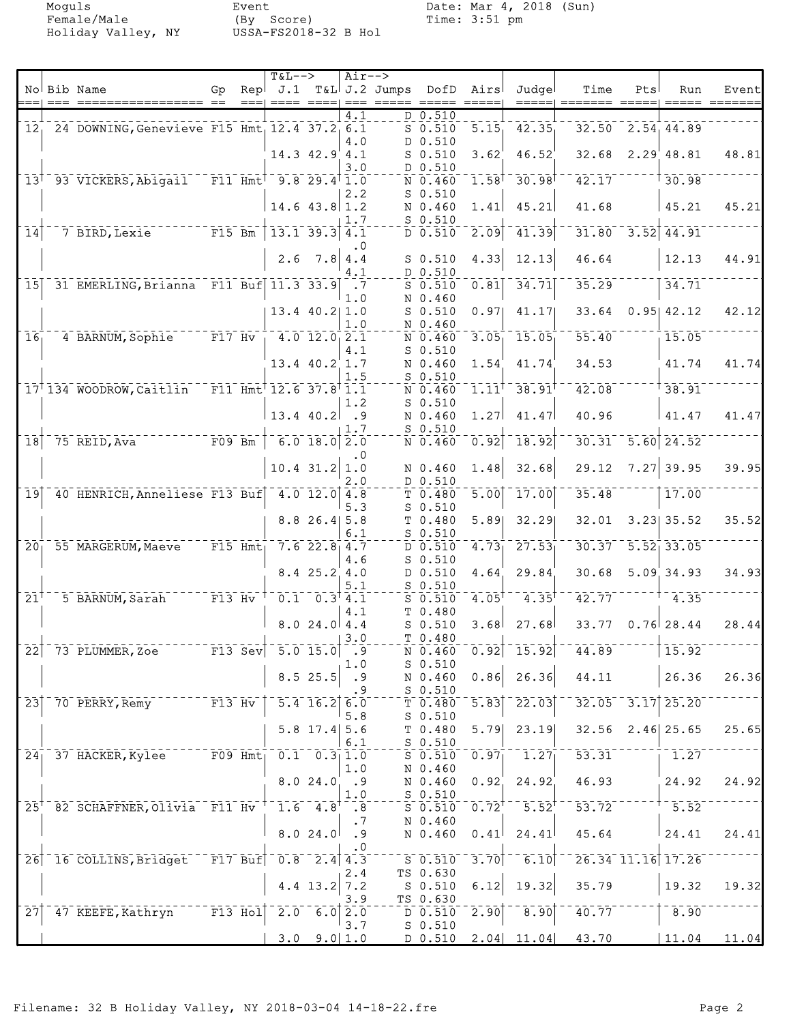Holiday Valley, NY

Moguls Event Date: Mar 4, 2018 (Sun)<br>Female/Male (By Score) Time: 3:51 pm Event<br>(By Score)<br>USSA-FS2018-32 B Hol

|                            |                                                                                    |                                   |       | $T&L-->$                                          |                                                    | $Air--$               |                                                                                                                                                                                                                                                                                                                                                                                                                                                                                                             |                                 |                     |                      |                                       |     |                         |                 |
|----------------------------|------------------------------------------------------------------------------------|-----------------------------------|-------|---------------------------------------------------|----------------------------------------------------|-----------------------|-------------------------------------------------------------------------------------------------------------------------------------------------------------------------------------------------------------------------------------------------------------------------------------------------------------------------------------------------------------------------------------------------------------------------------------------------------------------------------------------------------------|---------------------------------|---------------------|----------------------|---------------------------------------|-----|-------------------------|-----------------|
|                            | No Bib Name<br>$==  =  =  =  = $                                                   | Gp                                | $==1$ | Rep <sup>†</sup> J.1                              | $=$ $=$ $=$ $=$ $+$                                |                       | T&L J.2 Jumps DofD<br>$\begin{tabular}{lllllllllll} \toprule & \multicolumn{1}{l}{} & \multicolumn{1}{l}{} & \multicolumn{1}{l}{} & \multicolumn{1}{l}{} & \multicolumn{1}{l}{} & \multicolumn{1}{l}{} & \multicolumn{1}{l}{} & \multicolumn{1}{l}{} & \multicolumn{1}{l}{} & \multicolumn{1}{l}{} & \multicolumn{1}{l}{} & \multicolumn{1}{l}{} & \multicolumn{1}{l}{} & \multicolumn{1}{l}{} & \multicolumn{1}{l}{} & \multicolumn{1}{l}{} & \multicolumn{1}{l}{} & \multicolumn{1}{l}{} & \multicolumn{$ |                                 | Airs<br>$=====$     | Judgel<br>$=====$    | Time                                  | Pts | Run                     | Event<br>====== |
|                            |                                                                                    |                                   |       |                                                   |                                                    | $\overline{4.1}$      |                                                                                                                                                                                                                                                                                                                                                                                                                                                                                                             | D 0.510                         |                     |                      |                                       |     |                         |                 |
|                            | 12, 24 DOWNING, Genevieve F15 Hmt, 12.4 37.2, 6.1                                  |                                   |       |                                                   |                                                    |                       |                                                                                                                                                                                                                                                                                                                                                                                                                                                                                                             | $S$ 0.510                       | $\overline{5.15}$   | 42.35                |                                       |     | $32.50$ $2.54$ $44.89$  |                 |
|                            |                                                                                    |                                   |       |                                                   |                                                    | 4.0                   |                                                                                                                                                                                                                                                                                                                                                                                                                                                                                                             | D 0.510                         |                     |                      |                                       |     |                         |                 |
|                            |                                                                                    |                                   |       |                                                   | $14.3$ $42.9$ $4.1$                                | 3.0                   |                                                                                                                                                                                                                                                                                                                                                                                                                                                                                                             | $S$ 0.510<br>D 0.510            | 3.62'               | 46.52                | 32.68                                 |     | 2.29' 48.81             | 48.81           |
|                            | 13 <sup>1</sup> 93 VICKERS, Abigail F11 Hmt <sup>1</sup> 9.8 29.4 <sup>1</sup> 1.0 |                                   |       |                                                   |                                                    |                       |                                                                                                                                                                                                                                                                                                                                                                                                                                                                                                             | N 0.460                         | $1.58$ <sup>T</sup> | $-30.98$             | 42.17                                 |     | 30.98                   |                 |
|                            |                                                                                    |                                   |       |                                                   |                                                    | 2.2                   |                                                                                                                                                                                                                                                                                                                                                                                                                                                                                                             | $S$ 0.510                       |                     |                      |                                       |     |                         |                 |
|                            |                                                                                    |                                   |       |                                                   | $14.6$ 43.8 1.2                                    |                       |                                                                                                                                                                                                                                                                                                                                                                                                                                                                                                             | N 0.460                         | 1.41                | 45.21                | 41.68                                 |     | 45.21                   | 45.21           |
|                            |                                                                                    |                                   |       |                                                   |                                                    | 1.7                   |                                                                                                                                                                                                                                                                                                                                                                                                                                                                                                             | $S$ 0.510                       |                     |                      |                                       |     |                         |                 |
| $\overline{1}\overline{4}$ | $-$ - $  \overline{F15}$ Bm<br>7 BIRD, Lexie                                       |                                   |       | $13.1$ 39.3 4.1                                   |                                                    |                       |                                                                                                                                                                                                                                                                                                                                                                                                                                                                                                             | $D \ 0.510$                     | 2.09                | 41.39                | 31.80                                 |     | $-3.52$ 44.91           |                 |
|                            |                                                                                    |                                   |       | 2.6                                               | 7.8 4.4                                            | $\cdot$ 0             |                                                                                                                                                                                                                                                                                                                                                                                                                                                                                                             | $S$ 0.510                       | 4.33                | 12.13                | 46.64                                 |     | 12.13                   | 44.91           |
|                            |                                                                                    |                                   |       |                                                   |                                                    | 4.1                   |                                                                                                                                                                                                                                                                                                                                                                                                                                                                                                             | D 0.510                         |                     |                      |                                       |     |                         |                 |
| 15                         | 31 EMERLING, Brianna F11 Buf 11.3 33.9                                             |                                   |       |                                                   |                                                    | $\cdot$ .7            |                                                                                                                                                                                                                                                                                                                                                                                                                                                                                                             | $S_0.510$                       | 0.81                | 34.71                | 35.29                                 |     | 34.71                   |                 |
|                            |                                                                                    |                                   |       |                                                   |                                                    | 1.0                   |                                                                                                                                                                                                                                                                                                                                                                                                                                                                                                             | N 0.460                         |                     |                      |                                       |     |                         |                 |
|                            |                                                                                    |                                   |       |                                                   | $13.4$ 40.2 1.0                                    |                       |                                                                                                                                                                                                                                                                                                                                                                                                                                                                                                             | $S$ 0.510                       | 0.97                | 41.17                | 33.64                                 |     | $0.95$ 42.12            | 42.12           |
| 16 <sub>1</sub>            | 4 BARNUM, Sophie F17 Hv                                                            |                                   |       |                                                   | $-4.0$ 12.0 2.1                                    | 1.0                   |                                                                                                                                                                                                                                                                                                                                                                                                                                                                                                             | N 0.460<br>N 0.460              | 3.05                | 15.05                | 55.40                                 |     | 15.05                   |                 |
|                            |                                                                                    |                                   |       |                                                   |                                                    | 4.1                   |                                                                                                                                                                                                                                                                                                                                                                                                                                                                                                             | $S$ 0.510                       |                     |                      |                                       |     |                         |                 |
|                            |                                                                                    |                                   |       |                                                   | 13.4 40.2 1.7                                      |                       |                                                                                                                                                                                                                                                                                                                                                                                                                                                                                                             | N 0.460                         | 1.54                | 41.74                | 34.53                                 |     | 41.74                   | 41.74           |
|                            |                                                                                    |                                   |       |                                                   |                                                    | 1.5                   |                                                                                                                                                                                                                                                                                                                                                                                                                                                                                                             | $S$ 0.510                       |                     |                      |                                       |     |                         |                 |
|                            | 17 134 WOODROW, Caitlin                                                            |                                   |       | $F11$ Hmt <sup>T</sup> 12.6 37.8 <sup>T</sup> 1.1 |                                                    |                       |                                                                                                                                                                                                                                                                                                                                                                                                                                                                                                             | N 0.460                         | $1.11$ <sup>T</sup> | 38.91                | 42.08                                 |     | 38.91                   |                 |
|                            |                                                                                    |                                   |       | $13.4$ 40.2 .9                                    |                                                    | 1.2                   |                                                                                                                                                                                                                                                                                                                                                                                                                                                                                                             | $S$ 0.510<br>N 0.460            | 1.27                | 41.47                | 40.96                                 |     | 41.47                   | 41.47           |
|                            |                                                                                    |                                   |       |                                                   |                                                    | 1.7                   |                                                                                                                                                                                                                                                                                                                                                                                                                                                                                                             | $S$ 0.510                       |                     |                      |                                       |     |                         |                 |
| $\overline{18}$            | 75 REID, Ava                                                                       | $ \bar{F}$ 09 $\bar{Bm}$          |       |                                                   | $-6.0$ 18.0 $2.0$                                  |                       |                                                                                                                                                                                                                                                                                                                                                                                                                                                                                                             | N 0.460                         | 0.92                | 18.92                | 30.31                                 |     | $\overline{5.60}$ 24.52 |                 |
|                            |                                                                                    |                                   |       |                                                   |                                                    | $\cdot$ 0             |                                                                                                                                                                                                                                                                                                                                                                                                                                                                                                             |                                 |                     |                      |                                       |     |                         |                 |
|                            |                                                                                    |                                   |       |                                                   | $10.4$ 31.2                                        | 1.0                   |                                                                                                                                                                                                                                                                                                                                                                                                                                                                                                             | N 0.460                         | 1.48                | 32.68                | 29.12                                 |     | $7.27$ 39.95            | 39.95           |
| 19                         | 40 HENRICH, Anneliese F13 Buf 4.0 12.0 4.8                                         |                                   |       |                                                   |                                                    | 2.0                   |                                                                                                                                                                                                                                                                                                                                                                                                                                                                                                             | D 0.510<br>T 0.480              | 5.00                | 17.00                | 35.48                                 |     | 17.00                   |                 |
|                            |                                                                                    |                                   |       |                                                   |                                                    | 5.3                   |                                                                                                                                                                                                                                                                                                                                                                                                                                                                                                             | $S$ 0.510                       |                     |                      |                                       |     |                         |                 |
|                            |                                                                                    |                                   |       |                                                   | $8.8$ 26.4 5.8                                     |                       |                                                                                                                                                                                                                                                                                                                                                                                                                                                                                                             | T 0.480                         | 5.89                | 32.29                | 32.01                                 |     | 3.23   35.52            | 35.52           |
|                            |                                                                                    |                                   |       |                                                   |                                                    | 6.1                   |                                                                                                                                                                                                                                                                                                                                                                                                                                                                                                             | $S$ 0.510                       |                     |                      |                                       |     |                         |                 |
| $20^{-}$                   | 55 MARGERUM, Maeve F15 Hmt                                                         |                                   |       |                                                   | $7.6$ 22.8 4.7                                     |                       |                                                                                                                                                                                                                                                                                                                                                                                                                                                                                                             | $D$ 0.510                       | 4.73                | 27.53                |                                       |     | $30.37 - 5.52 - 33.05$  |                 |
|                            |                                                                                    |                                   |       |                                                   | 8.4 25.2 4.0                                       | 4.6                   |                                                                                                                                                                                                                                                                                                                                                                                                                                                                                                             | $S$ 0.510<br>D 0.510            | 4.64                | 29.84                | 30.68                                 |     | 5.09, 34.93             | 34.93           |
|                            |                                                                                    |                                   |       |                                                   |                                                    | 5.1                   |                                                                                                                                                                                                                                                                                                                                                                                                                                                                                                             | $S$ 0.510                       |                     |                      |                                       |     |                         |                 |
| $\bar{2}\bar{1}^{\dagger}$ | 5 BARNUM, Sarah F13 Hv                                                             |                                   |       |                                                   | $0.1 - 0.3$ <sup>†</sup> 4.1                       |                       |                                                                                                                                                                                                                                                                                                                                                                                                                                                                                                             | $S$ $0.510$                     | $4.05^{\dagger}$    | $4.35$ <sup>T</sup>  | 42.77                                 |     | 4.35                    |                 |
|                            |                                                                                    |                                   |       |                                                   |                                                    | 4.1                   |                                                                                                                                                                                                                                                                                                                                                                                                                                                                                                             | T 0.480                         |                     |                      |                                       |     |                         |                 |
|                            |                                                                                    |                                   |       |                                                   | 8.024.04.4                                         |                       |                                                                                                                                                                                                                                                                                                                                                                                                                                                                                                             | $S$ 0.510                       | 3.68                | 27.68                | 33.77                                 |     | $0.76$ 28.44            | 28.44           |
|                            | $\sqrt{22}$ 73 PLUMMER, Zoe                                                        | $\overline{F13}$ $\overline{Sev}$ |       | $\frac{-1}{5.0}$ 15.0                             |                                                    | 3.0<br>$\overline{9}$ |                                                                                                                                                                                                                                                                                                                                                                                                                                                                                                             | T 0.480                         |                     |                      | $\overline{N}$ 0.460 0.92 15.92 44.89 |     | 15.92                   |                 |
|                            |                                                                                    |                                   |       |                                                   |                                                    | 1.0                   |                                                                                                                                                                                                                                                                                                                                                                                                                                                                                                             | $S$ 0.510                       |                     |                      |                                       |     |                         |                 |
|                            |                                                                                    |                                   |       |                                                   | $8.5$ 25.5                                         | .9                    |                                                                                                                                                                                                                                                                                                                                                                                                                                                                                                             | N 0.460                         | 0.86                | 26.36                | 44.11                                 |     | 26.36                   | 26.36           |
|                            |                                                                                    |                                   |       |                                                   |                                                    | . 9                   |                                                                                                                                                                                                                                                                                                                                                                                                                                                                                                             | $S$ 0.510                       |                     |                      |                                       |     |                         |                 |
| $\overline{23}$            | 70 PERRY, Remy                                                                     | $\overline{F13} \overline{Hv}$    |       |                                                   | $5.4$ 16.2                                         | 6.0                   |                                                                                                                                                                                                                                                                                                                                                                                                                                                                                                             | T 0.480                         | $\overline{5.83}$   | $\overline{22.03}$   |                                       |     | $32.05 - 3.17$ 25.20    |                 |
|                            |                                                                                    |                                   |       |                                                   | $5.8$ 17.4 $5.6$                                   | 5.8                   |                                                                                                                                                                                                                                                                                                                                                                                                                                                                                                             | $S$ 0.510<br>T <sub>0.480</sub> | 5.79                | 23.19                | 32.56                                 |     | $2.46$ 25.65            | 25.65           |
|                            |                                                                                    |                                   |       |                                                   |                                                    | 6.1                   |                                                                                                                                                                                                                                                                                                                                                                                                                                                                                                             | $S$ 0.510                       |                     |                      |                                       |     |                         |                 |
|                            | $24-$ 37 HACKER, Kylee                                                             | $-$ FO9 $\overline{H}$ mt         |       |                                                   | $\overline{0.1}$ $\overline{0.3}$ $\overline{1.0}$ |                       |                                                                                                                                                                                                                                                                                                                                                                                                                                                                                                             | $S$ 0.510 0.97                  |                     | 1.27                 | $\overline{53.31}$                    |     | 1.27                    |                 |
|                            |                                                                                    |                                   |       |                                                   |                                                    | 1.0                   |                                                                                                                                                                                                                                                                                                                                                                                                                                                                                                             | N 0.460                         |                     |                      |                                       |     |                         |                 |
|                            |                                                                                    |                                   |       |                                                   | 8.024.0.9                                          |                       |                                                                                                                                                                                                                                                                                                                                                                                                                                                                                                             | N 0.460                         | 0.92                | 24.92                | 46.93                                 |     | 24.92                   | 24.92           |
|                            | 25 <sup>+</sup> 82 SCHAFFNER, Olivia F11 Hv                                        |                                   |       |                                                   | $1.6 - 4.8$                                        | 1.0<br>.8             |                                                                                                                                                                                                                                                                                                                                                                                                                                                                                                             | $S$ 0.510<br>$S$ 0.510          | $0.72^{T}$          | $-5.52$ <sup>†</sup> | 53.72                                 |     | $+ - 5.52$              |                 |
|                            |                                                                                    |                                   |       |                                                   |                                                    | $\cdot$ 7             |                                                                                                                                                                                                                                                                                                                                                                                                                                                                                                             | N 0.460                         |                     |                      |                                       |     |                         |                 |
|                            |                                                                                    |                                   |       |                                                   | 8.024.0                                            | .9                    |                                                                                                                                                                                                                                                                                                                                                                                                                                                                                                             | N 0.460                         | 0.41                | 24.41                | 45.64                                 |     | 24.41                   | 24.41           |
|                            |                                                                                    |                                   |       |                                                   |                                                    | . 0                   |                                                                                                                                                                                                                                                                                                                                                                                                                                                                                                             |                                 |                     |                      |                                       |     |                         |                 |
| $\overline{26}$            | 16 COLLINS, Bridget                                                                |                                   |       | $FT7$ Buf $0.8$ 2.4 4.3                           |                                                    |                       |                                                                                                                                                                                                                                                                                                                                                                                                                                                                                                             | $S = 0.510$                     | 3.70                | 6.10                 |                                       |     | 26.34 11.16 17.26       |                 |
|                            |                                                                                    |                                   |       |                                                   | $4.4$ 13.2                                         | 2.4<br>7.2            |                                                                                                                                                                                                                                                                                                                                                                                                                                                                                                             | TS 0.630<br>S 0.510             | 6.12                | 19.32                | 35.79                                 |     | 19.32                   | 19.32           |
|                            |                                                                                    |                                   |       |                                                   |                                                    | 3.9                   |                                                                                                                                                                                                                                                                                                                                                                                                                                                                                                             | TS 0.630                        |                     |                      |                                       |     |                         |                 |
| 27                         | 47 KEEFE, Kathryn                                                                  | $^{-1}$ F13 Hol $]$               |       |                                                   | $2.0$ 6.0 $2.0$                                    |                       |                                                                                                                                                                                                                                                                                                                                                                                                                                                                                                             | D 0.510                         | $\overline{2.90}$   | $\overline{8.90}$    | 40.77                                 |     | 8.90                    |                 |
|                            |                                                                                    |                                   |       |                                                   |                                                    | 3.7                   |                                                                                                                                                                                                                                                                                                                                                                                                                                                                                                             | $S$ 0.510                       |                     |                      |                                       |     |                         |                 |
|                            |                                                                                    |                                   |       |                                                   | $3.0$ $9.0$ 1.0                                    |                       |                                                                                                                                                                                                                                                                                                                                                                                                                                                                                                             |                                 |                     | $D$ 0.510 2.04 11.04 | 43.70                                 |     | 11.04                   | 11.04           |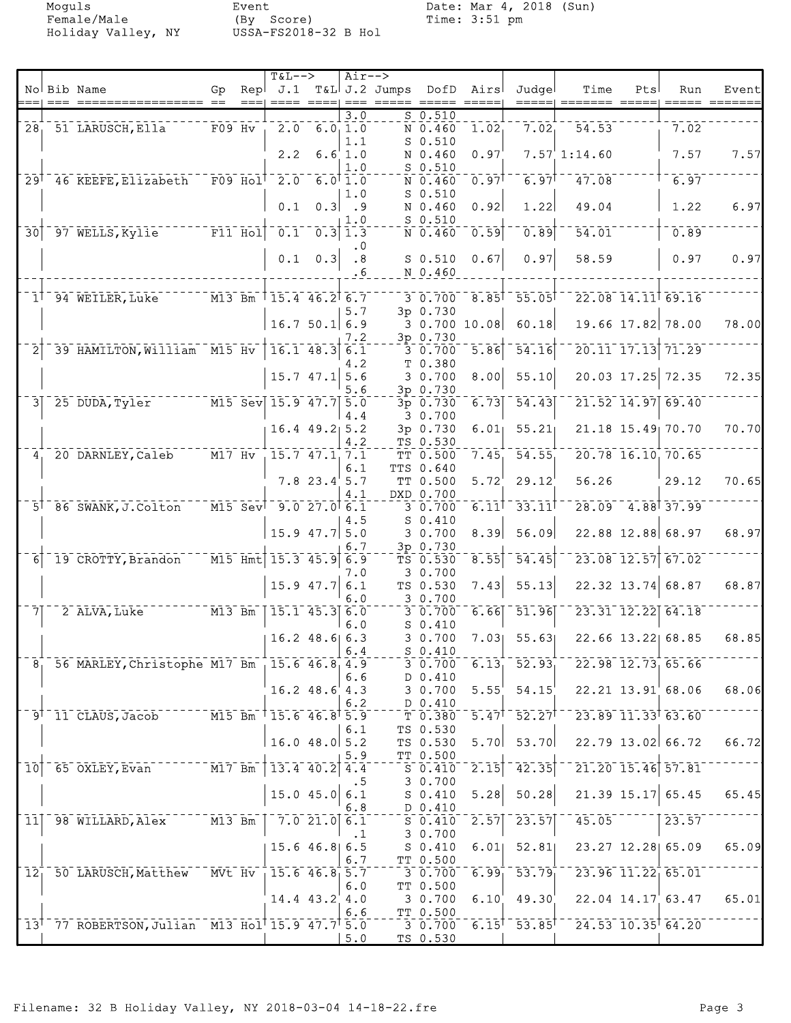Moguls Event Date: Mar 4, 2018 (Sun)<br>Female/Male (By Score) Time: 3:51 pm Female/Male (By Score) Time: 3:51 pm Holiday Valley, NY USSA-FS2018-32 B Hol

|                 |                |                                                                                      |                |             | $T&L-->$                |                     | Air-->                     |                            |                     |                     |                            |                                                                          |     |                       |       |
|-----------------|----------------|--------------------------------------------------------------------------------------|----------------|-------------|-------------------------|---------------------|----------------------------|----------------------------|---------------------|---------------------|----------------------------|--------------------------------------------------------------------------|-----|-----------------------|-------|
|                 |                | No Bib Name                                                                          | Gp             | Repl        | J.1                     |                     |                            | T&L J.2 Jumps              | DofD                | Airs                | Judgel                     | Time                                                                     | Pts | Run                   | Event |
|                 |                |                                                                                      |                |             |                         |                     |                            | $==  =  =  =  =  =  =  = $ |                     |                     |                            |                                                                          |     |                       |       |
|                 |                |                                                                                      |                |             |                         |                     | $\overline{3.0}$           |                            | $S$ 0.510           |                     |                            |                                                                          |     |                       |       |
|                 |                | 28 51 LARUSCH, Ella                                                                  | $F09$ Hv       |             |                         | $2.0 \t6.01.0$      |                            |                            | N 0.460             | 1.02                | 7.02                       | 54.53                                                                    |     | 7.02                  |       |
|                 |                |                                                                                      |                |             |                         |                     | 1.1                        |                            | $S$ 0.510           |                     |                            |                                                                          |     |                       |       |
|                 |                |                                                                                      |                |             | 2.2                     |                     | 6.6 1.0                    |                            |                     | 0.97                |                            |                                                                          |     | 7.57                  | 7.57  |
|                 |                |                                                                                      |                |             |                         |                     |                            |                            | N 0.460             |                     |                            | $7.57$ 1:14.60                                                           |     |                       |       |
|                 |                |                                                                                      |                |             |                         |                     | 1.0                        |                            | $S$ 0.510           |                     |                            |                                                                          |     |                       |       |
|                 |                | 29 <sup>7</sup> 46 KEEFE, Elizabeth                                                  |                | $F09$ $H01$ | $\overline{2.0}$        |                     | $6.0$ <sup>[</sup> $1.0$ ] |                            | N 0.460             | 0.97                | $6.97$ <sup>T</sup>        | 47.08                                                                    |     | 6.97                  |       |
|                 |                |                                                                                      |                |             |                         |                     | 1.0                        |                            | $S$ 0.510           |                     |                            |                                                                          |     |                       |       |
|                 |                |                                                                                      |                |             | 0.1                     | 0.3                 | .9                         |                            | N 0.460             | 0.92                | 1.22                       | 49.04                                                                    |     | 1.22                  | 6.97  |
|                 |                |                                                                                      |                |             |                         |                     | 1.0                        |                            | $S$ 0.510           |                     |                            |                                                                          |     |                       |       |
| $\overline{30}$ |                | 97 WELLS, Kylie F11 Hol                                                              |                |             | 0.1                     |                     | $0.3$ 1.3                  |                            | N 0.460             | 0.59                | 0.89                       | 54.01                                                                    |     | 0.89                  |       |
|                 |                |                                                                                      |                |             |                         |                     |                            |                            |                     |                     |                            |                                                                          |     |                       |       |
|                 |                |                                                                                      |                |             |                         |                     | $\cdot$ 0                  |                            |                     |                     |                            |                                                                          |     |                       |       |
|                 |                |                                                                                      |                |             | 0.1                     | 0.3                 | .8                         |                            | $S$ 0.510           | 0.67                | 0.97                       | 58.59                                                                    |     | 0.97                  | 0.97  |
|                 |                |                                                                                      |                |             |                         |                     | .6                         |                            | N 0.460             |                     |                            |                                                                          |     |                       |       |
|                 |                |                                                                                      |                |             |                         |                     |                            |                            |                     |                     |                            |                                                                          |     |                       |       |
|                 |                | $1^{\dagger}$ 94 WEILER, Luke                                                        | $M13$ Bm       |             | $15.4$ 46.2 6.7         |                     |                            |                            | $3\ 0.700$          | 8.85                | $-55.05$                   |                                                                          |     | 22.08 14.11 69.16     |       |
|                 |                |                                                                                      |                |             |                         |                     | 5.7                        |                            | 3p 0.730            |                     |                            |                                                                          |     |                       |       |
|                 |                |                                                                                      |                |             |                         | 16.750.16.9         |                            |                            |                     | 30.70010.08         | 60.18                      |                                                                          |     | 19.66 17.82 78.00     | 78.00 |
|                 |                |                                                                                      |                |             |                         |                     |                            |                            |                     |                     |                            |                                                                          |     |                       |       |
|                 |                |                                                                                      |                |             |                         |                     | 7.2                        |                            | 3p 0.730            |                     |                            |                                                                          |     |                       |       |
|                 |                | 39 HAMILTON, William M15 Hv                                                          |                |             |                         | $16.1$ $48.3$ 6.1   |                            |                            | $3\overline{0.700}$ | 5.86                | 54.16                      |                                                                          |     | 20.11 17.13 71.29     |       |
|                 |                |                                                                                      |                |             |                         |                     | 4.2                        |                            | T 0.380             |                     |                            |                                                                          |     |                       |       |
|                 |                |                                                                                      |                |             |                         | $15.7$ 47.1 5.6     |                            |                            | 30.700              | 8.00                | 55.10                      |                                                                          |     | 20.03 17.25 72.35     | 72.35 |
|                 |                |                                                                                      |                |             |                         |                     | 5.6                        |                            | 3p 0.730            |                     |                            |                                                                          |     |                       |       |
| 3 <sup>1</sup>  |                | 25 DUDA, Tyler                                                                       |                |             | $M15$ Sev 15.9 47.7 5.0 |                     |                            |                            | 3p 0.730            | 6.73                | $\overline{54.43}$         |                                                                          |     | 21.52 14.97 69.40     |       |
|                 |                |                                                                                      |                |             |                         |                     |                            |                            |                     |                     |                            |                                                                          |     |                       |       |
|                 |                |                                                                                      |                |             |                         |                     | 4.4                        |                            | 3 0.700             |                     |                            |                                                                          |     |                       |       |
|                 |                |                                                                                      |                |             |                         | $16.4$ $49.2$ 5.2   |                            |                            | 3p 0.730            | 6.01                | 55.21                      |                                                                          |     | 21.18 15.49 70.70     | 70.70 |
|                 |                |                                                                                      |                |             |                         |                     | 4.2                        |                            | TS 0.530            |                     |                            |                                                                          |     |                       |       |
|                 | 4 <sub>1</sub> | 20 DARNLEY, Caleb                                                                    | $M17$ Hv       |             |                         | 15.7 47.1 7.1       |                            |                            | TT 0.500            | 7.45                | $\overline{54.55}$         |                                                                          |     | 20.78 16.10 70.65     |       |
|                 |                |                                                                                      |                |             |                         |                     | 6.1                        |                            | TTS 0.640           |                     |                            |                                                                          |     |                       |       |
|                 |                |                                                                                      |                |             |                         | $7.8$ 23.4 5.7      |                            |                            | TT 0.500            | 5.72                | 29.12                      | 56.26                                                                    |     | 29.12                 | 70.65 |
|                 |                |                                                                                      |                |             |                         |                     | 4.1                        |                            | DXD 0.700           |                     |                            |                                                                          |     |                       |       |
|                 |                | $5^{\dagger}$ 86 SWANK, J. Colton                                                    | $^{-}$ M15 Sev |             | $-9.0 - 27.0$ 6.1       |                     |                            |                            |                     | $6.11$ <sup>T</sup> | 33.11                      |                                                                          |     | $28.09 - 4.88$ 37.99  |       |
|                 |                |                                                                                      |                |             |                         |                     |                            |                            | 30.700              |                     |                            |                                                                          |     |                       |       |
|                 |                |                                                                                      |                |             |                         |                     | 4.5                        |                            | $S_0.410$           |                     |                            |                                                                          |     |                       |       |
|                 |                |                                                                                      |                |             |                         | $15.9$ $47.7$ 5.0   |                            |                            | 3 0.700             | 8.39                | 56.09                      |                                                                          |     | 22.88 12.88 68.97     | 68.97 |
|                 |                |                                                                                      |                |             |                         |                     | 6.7                        |                            | 3p 0.730            |                     |                            |                                                                          |     |                       |       |
| 61              |                | 19 CROTTY, Brandon                                                                   |                |             | M15 Hmt 15.3 45.9 6.9   |                     |                            |                            | TS 0.530            | 8.55                | $\overline{54.45}$         |                                                                          |     | 23.08 12.57 67.02     |       |
|                 |                |                                                                                      |                |             |                         |                     | 7.0                        |                            | 3 0.700             |                     |                            |                                                                          |     |                       |       |
|                 |                |                                                                                      |                |             |                         | $15.9$ 47.7         | 6.1                        |                            | TS 0.530            | 7.43                | 55.13                      |                                                                          |     | $22.32$ 13.74 68.87   | 68.87 |
|                 |                |                                                                                      |                |             |                         |                     | 6.0                        |                            | 3 0.700             |                     |                            |                                                                          |     |                       |       |
|                 |                |                                                                                      |                |             |                         |                     |                            |                            |                     |                     |                            |                                                                          |     | 23.31 12.22 64.18     |       |
| 71              |                | 2 ALVA, Luke                                                                         | $M13$ Bm       |             |                         | $15.1$ $45.3$ 6.0   |                            |                            | $3 - 0.700$         | 6.66                | 51.96                      |                                                                          |     |                       |       |
|                 |                |                                                                                      |                |             |                         |                     | 6.0                        |                            | $S$ 0.410           |                     |                            |                                                                          |     |                       |       |
|                 |                |                                                                                      |                |             |                         | $16.2$ 48.6 6.3     |                            |                            | 3 0.700             | 7.03                | 55.63                      |                                                                          |     | 22.66 13.22 68.85     | 68.85 |
|                 |                |                                                                                      |                |             |                         |                     | $\vert 6.4$                |                            | $S_0.410$           |                     |                            |                                                                          |     |                       |       |
| 8 <sub>1</sub>  |                | 56 MARLEY, Christophe M17 Bm 15.6 46.8 4.9                                           |                |             |                         |                     |                            |                            | 3 0.700             |                     | $6.13$ $52.93$             |                                                                          |     | 22.98 12.73 65.66     |       |
|                 |                |                                                                                      |                |             |                         |                     | 6.6                        |                            | D 0.410             |                     |                            |                                                                          |     |                       |       |
|                 |                |                                                                                      |                |             |                         | $16.2$ $48.6$ $4.3$ |                            |                            | 3 0.700             | 5.55                | 54.15                      |                                                                          |     | $22.21$ $13.91$ 68.06 | 68.06 |
|                 |                |                                                                                      |                |             |                         |                     | 6.2                        |                            | D 0.410             |                     |                            |                                                                          |     |                       |       |
|                 |                |                                                                                      |                |             |                         |                     |                            |                            |                     |                     |                            |                                                                          |     |                       |       |
|                 |                | $- - - - -  \overline{M15}$ Bm<br>$9^{\dagger}$ 11 CLAUS, Jacob                      |                |             | $15.6$ $46.8$ $5.9$     |                     |                            |                            | $T$ 0.380           |                     |                            | $5.47$ <sup>†</sup> 52.27 <sup>† - 23.89 11.33<sup>†</sup> 63.60</sup>   |     |                       |       |
|                 |                |                                                                                      |                |             |                         |                     | 6.1                        |                            | TS 0.530            |                     |                            |                                                                          |     |                       |       |
|                 |                |                                                                                      |                |             |                         | $16.0$ 48.0 5.2     |                            |                            | TS 0.530            | 5.70                | 53.70                      |                                                                          |     | $22.79$ 13.02 66.72   | 66.72 |
|                 |                |                                                                                      |                |             |                         |                     | 5.9                        |                            | TT 0.500            |                     |                            |                                                                          |     |                       |       |
| $\overline{10}$ |                | 65 OXLEY, Evan M17 Bm                                                                |                |             | $13.4$ 40.2 4.4         |                     |                            |                            | $S_{0.410}$         | 2.15                | 42.35                      |                                                                          |     | $21.20$ 15.46 57.81   |       |
|                 |                |                                                                                      |                |             |                         |                     | .5                         |                            | 3 0.700             |                     |                            |                                                                          |     |                       |       |
|                 |                |                                                                                      |                |             |                         | $15.0$ 45.0 6.1     |                            |                            | S 0.410             | 5.28                | 50.28                      |                                                                          |     | $21.39$ 15.17 65.45   | 65.45 |
|                 |                |                                                                                      |                |             |                         |                     | 6.8                        |                            | D 0.410             |                     |                            |                                                                          |     |                       |       |
|                 |                |                                                                                      |                |             |                         |                     |                            |                            |                     |                     |                            |                                                                          |     |                       |       |
|                 |                | 11 98 WILLARD, Alex M13 Bm                                                           |                |             |                         | 7.021.06.1          |                            |                            | S 0.410             | 2.57                | $\left[2\bar{3.5}7\right]$ | $45.05$ <sup>----</sup>                                                  |     | 23.57                 |       |
|                 |                |                                                                                      |                |             |                         |                     | $\cdot$ 1                  |                            | 30.700              |                     |                            |                                                                          |     |                       |       |
|                 |                |                                                                                      |                |             |                         | $15.6$ 46.8 6.5     |                            |                            | S <sub>0.410</sub>  | 6.01                | 52.81                      | 23.27 12.28 65.09                                                        |     |                       | 65.09 |
|                 |                |                                                                                      |                |             |                         |                     | 6.7                        |                            | TT 0.500            |                     |                            |                                                                          |     |                       |       |
| $\overline{12}$ |                | 50 LARUSCH, Matthew MVt Hv                                                           |                |             |                         | $15.6$ 46.8 5.7     |                            |                            | 30.700              | $6.99_1$            | $-53.79$                   | $-23.96$ 11.22 65.01                                                     |     |                       |       |
|                 |                |                                                                                      |                |             |                         |                     | 6.0                        |                            | TT 0.500            |                     |                            |                                                                          |     |                       |       |
|                 |                |                                                                                      |                |             |                         |                     |                            |                            |                     | 6.10                | 49.30                      |                                                                          |     |                       | 65.01 |
|                 |                |                                                                                      |                |             |                         | 14.4 43.2 4.0       |                            |                            | 3 0.700             |                     |                            |                                                                          |     | $22.04$ $14.17$ 63.47 |       |
|                 |                |                                                                                      |                |             |                         |                     | 6.6                        |                            | TT 0.500            |                     |                            |                                                                          |     |                       |       |
|                 |                | 13 <sup>1</sup> 77 ROBERTSON, Julian M13 Hol <sup>1</sup> 15.9 47.7 <sup>1</sup> 5.0 |                |             |                         |                     |                            |                            | 3 0.700             |                     |                            | $6.15$ <sup>†</sup> 53.85 <sup>† - 2</sup> 4.53 10.35 <sup>†</sup> 64.20 |     |                       |       |
|                 |                |                                                                                      |                |             |                         |                     | 5.0                        |                            | TS 0.530            |                     |                            |                                                                          |     |                       |       |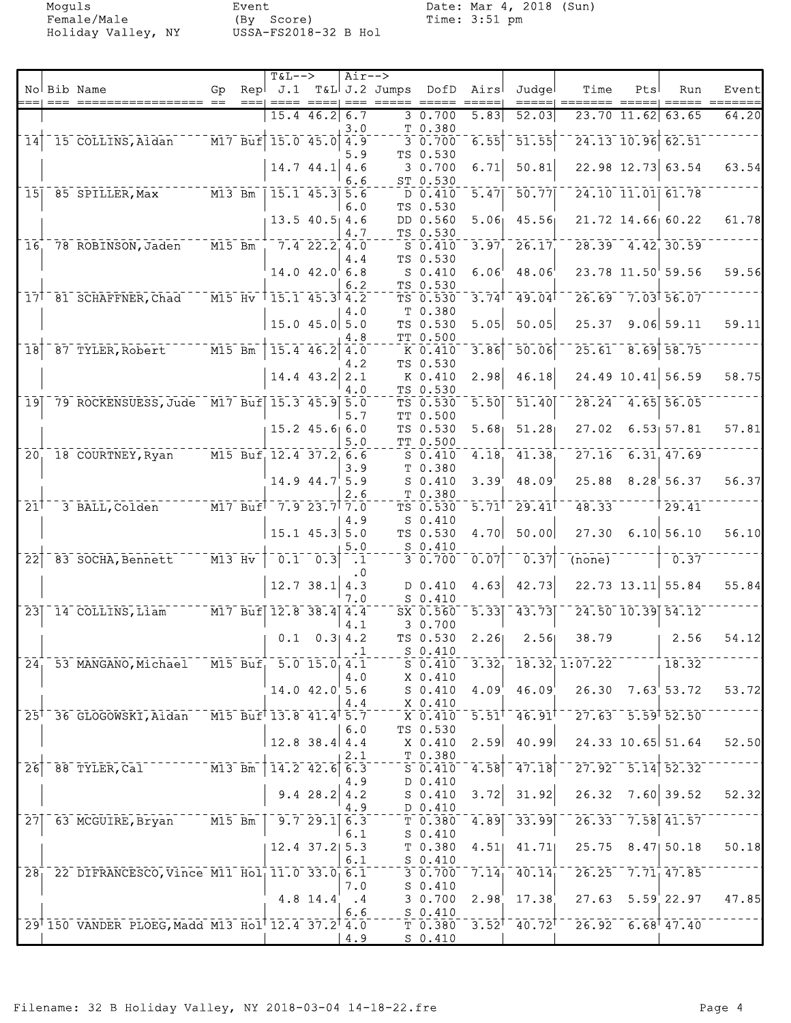Holiday Valley, NY

Moguls Event Date: Mar 4, 2018 (Sun)<br>Female/Male (By Score) Time: 3:51 pm Event<br>(By Score)<br>USSA-FS2018-32 B Hol

|                            |                                                 |                                  |                  | $T&L-->$                             |                     | $Air--$          |                 |                          |                              |                                                                                                                                                       |                                                                                                                     |     |                        |                                                                                                                |
|----------------------------|-------------------------------------------------|----------------------------------|------------------|--------------------------------------|---------------------|------------------|-----------------|--------------------------|------------------------------|-------------------------------------------------------------------------------------------------------------------------------------------------------|---------------------------------------------------------------------------------------------------------------------|-----|------------------------|----------------------------------------------------------------------------------------------------------------|
|                            | No Bib Name                                     | Gp                               | Rep <sub>1</sub> | J.1                                  |                     |                  | $T&L$ J.2 Jumps | DofD                     | Airs                         | Judgel                                                                                                                                                | Time                                                                                                                | Pts | Run                    | Event                                                                                                          |
|                            |                                                 |                                  | $==$             |                                      |                     | $=$ $=$ $=$      |                 |                          |                              |                                                                                                                                                       |                                                                                                                     |     |                        | $\qquad \qquad \doteq\qquad \qquad \qquad \doteq\qquad \qquad \qquad \qquad \doteq\qquad \qquad \qquad \qquad$ |
|                            |                                                 |                                  |                  |                                      | $15.4$ 46.2 6.7     | 3.0              |                 | 30.700<br>T 0.380        | 5.83                         | 52.03                                                                                                                                                 |                                                                                                                     |     | 23.70 11.62 63.65      | 64.20                                                                                                          |
| $\overline{14}$            | 15 COLLINS, Aidan                               |                                  |                  | M17 Buf 15.0 45.0 4.9                |                     |                  |                 | $3\overline{0.700}$      | 6.55                         | 51.55                                                                                                                                                 |                                                                                                                     |     | 24.13 10.96 62.51      |                                                                                                                |
|                            |                                                 |                                  |                  |                                      |                     | 5.9              |                 | TS 0.530                 |                              |                                                                                                                                                       |                                                                                                                     |     |                        |                                                                                                                |
|                            |                                                 |                                  |                  |                                      | $14.7$ $44.1$ $4.6$ |                  |                 | 30.700                   | 6.71                         | 50.81                                                                                                                                                 |                                                                                                                     |     | 22.98 12.73 63.54      | 63.54                                                                                                          |
|                            |                                                 |                                  |                  |                                      |                     | 6.6              |                 | ST 0.530                 |                              |                                                                                                                                                       |                                                                                                                     |     |                        |                                                                                                                |
| 15                         | 85 SPILLER, Max                                 | $M13$ Bm                         |                  |                                      | $15.1$ 45.3         | 5.6              |                 | D 0.410                  | 5.47                         | 50.77                                                                                                                                                 |                                                                                                                     |     | 24.10 11.01 61.78      |                                                                                                                |
|                            |                                                 |                                  |                  |                                      |                     | 6.0              |                 | TS 0.530                 |                              |                                                                                                                                                       |                                                                                                                     |     |                        |                                                                                                                |
|                            |                                                 |                                  |                  |                                      | $13.5$ 40.5 4.6     |                  |                 | DD 0.560                 | 5.06                         | 45.56                                                                                                                                                 |                                                                                                                     |     | 21.72 14.66 60.22      | 61.78                                                                                                          |
|                            |                                                 |                                  |                  |                                      |                     | 4.7              |                 | TS 0.530                 |                              |                                                                                                                                                       |                                                                                                                     |     |                        |                                                                                                                |
| 16                         | 78 ROBINSON, Jaden                              | $M15$ Bm                         |                  |                                      | $7.4$ 22.2 4.0      |                  |                 | $S$ 0.410                | 3.97                         | 26.17                                                                                                                                                 |                                                                                                                     |     | $28.39 - 4.42$ , 30.59 |                                                                                                                |
|                            |                                                 |                                  |                  |                                      |                     | 4.4              |                 | TS 0.530                 |                              |                                                                                                                                                       |                                                                                                                     |     |                        |                                                                                                                |
|                            |                                                 |                                  |                  |                                      | $14.0$ $42.0$ 6.8   |                  |                 | $S_0.410$                | 6.06                         | 48.06                                                                                                                                                 |                                                                                                                     |     | 23.78 11.50 59.56      | 59.56                                                                                                          |
|                            |                                                 |                                  |                  |                                      |                     | 6.2              |                 | TS 0.530                 |                              |                                                                                                                                                       |                                                                                                                     |     |                        |                                                                                                                |
|                            | 17 81 SCHAFFNER, Chad                           | $\overline{M15}$ $\overline{Hv}$ |                  |                                      | $15.1$ $45.3$ $4.2$ |                  |                 | TS 0.530                 | 3.74                         | 49.04                                                                                                                                                 |                                                                                                                     |     | 26.69 7.03 56.07       |                                                                                                                |
|                            |                                                 |                                  |                  |                                      | $15.0$ 45.0 5.0     | 4.0              |                 | T 0.380<br>TS 0.530      | 5.05                         | 50.05                                                                                                                                                 | 25.37                                                                                                               |     | $9.06$ 59.11           | 59.11                                                                                                          |
|                            |                                                 |                                  |                  |                                      |                     | 4.8              |                 | TT 0.500                 |                              |                                                                                                                                                       |                                                                                                                     |     |                        |                                                                                                                |
| $\overline{18}$            | 87 TYLER, Robert                                | $\overline{M15}$ Bm              |                  |                                      | 15.4 46.2           | 4.0              |                 | K 0.410                  | 3.86                         | 50.06                                                                                                                                                 | 25.61                                                                                                               |     | $8.69$ $58.75$         |                                                                                                                |
|                            |                                                 |                                  |                  |                                      |                     | 4.2              |                 | TS 0.530                 |                              |                                                                                                                                                       |                                                                                                                     |     |                        |                                                                                                                |
|                            |                                                 |                                  |                  |                                      | 14.4 43.2 2.1       |                  |                 | K 0.410                  | 2.98                         | 46.18                                                                                                                                                 |                                                                                                                     |     | 24.49 10.41 56.59      | 58.75                                                                                                          |
|                            |                                                 |                                  |                  |                                      |                     | 4.0              |                 | TS 0.530                 |                              |                                                                                                                                                       |                                                                                                                     |     |                        |                                                                                                                |
| 19                         | 79 ROCKENSUESS, Jude M17 Buf 15.3 45.9 5.0      |                                  |                  |                                      |                     |                  |                 | TS 0.530                 | 5.50                         | 51.40                                                                                                                                                 | 28.24                                                                                                               |     | $4.65$ 56.05           |                                                                                                                |
|                            |                                                 |                                  |                  |                                      |                     | 5.7              |                 | TT 0.500                 |                              |                                                                                                                                                       |                                                                                                                     |     |                        |                                                                                                                |
|                            |                                                 |                                  |                  |                                      | $15.2$ $45.6$ 6.0   |                  |                 | TS 0.530                 | 5.68                         | 51.28                                                                                                                                                 | 27.02                                                                                                               |     | 6.53 57.81             | 57.81                                                                                                          |
|                            |                                                 |                                  |                  |                                      |                     | 5.0              |                 | TT 0.500                 |                              |                                                                                                                                                       |                                                                                                                     |     |                        |                                                                                                                |
| $\overline{20}$            | 18 COURTNEY, Ryan                               |                                  |                  | M15 Buf 12.4 37.2 6.6                |                     |                  |                 | $S$ 0.410                | 4.18                         | 41.38                                                                                                                                                 | 27.16                                                                                                               |     | 6.31, 47.69            |                                                                                                                |
|                            |                                                 |                                  |                  |                                      |                     | 3.9              |                 | T 0.380                  |                              |                                                                                                                                                       |                                                                                                                     |     |                        |                                                                                                                |
|                            |                                                 |                                  |                  |                                      | 14.9 44.7 5.9       |                  |                 | $S_0.410$                | 3.39'                        | 48.09                                                                                                                                                 | 25.88                                                                                                               |     | 8.28'56.37             | 56.37                                                                                                          |
|                            |                                                 |                                  |                  |                                      |                     | 2.6              |                 | T 0.380                  |                              |                                                                                                                                                       |                                                                                                                     |     |                        |                                                                                                                |
| $21$ <sup>T</sup>          | 3 BALL, Colden                                  |                                  |                  | $17$ Buf <sup>1 -</sup> 7.9 23.7 7.0 |                     |                  |                 | TS 0.530                 | $\bar{5}.\bar{7}1^{\dagger}$ | 29.41                                                                                                                                                 | 48.33                                                                                                               |     | 29.41                  |                                                                                                                |
|                            |                                                 |                                  |                  |                                      |                     | 4.9              |                 | $S_0.410$                |                              |                                                                                                                                                       |                                                                                                                     |     |                        |                                                                                                                |
|                            |                                                 |                                  |                  |                                      | $15.1$ 45.3 5.0     |                  |                 | TS 0.530<br>S 0.410      | 4.70                         | 50.00                                                                                                                                                 | 27.30                                                                                                               |     | 6.10 56.10             | 56.10                                                                                                          |
| $\overline{2}\overline{2}$ | 83 SOCHA, Bennett                               | $M13$ Hv                         |                  |                                      | $0.1 - 0.3$         | 5.0<br>$\cdot$ 1 |                 | $3 - 0.700$              | 0.07                         | 0.37                                                                                                                                                  | (none)                                                                                                              |     | 0.37                   |                                                                                                                |
|                            |                                                 |                                  |                  |                                      |                     | . 0              |                 |                          |                              |                                                                                                                                                       |                                                                                                                     |     |                        |                                                                                                                |
|                            |                                                 |                                  |                  |                                      | $12.7$ 38.1 4.3     |                  |                 | D 0.410                  | 4.63                         | 42.73                                                                                                                                                 |                                                                                                                     |     | $22.73$ 13.11 55.84    | 55.84                                                                                                          |
|                            |                                                 |                                  |                  |                                      |                     | 7.0              |                 | $S_0.410$                |                              |                                                                                                                                                       |                                                                                                                     |     |                        |                                                                                                                |
| $\overline{23}$            | 14 COLLINS, Liam M17 Buf 12.8 38.4 4.4          |                                  |                  |                                      |                     |                  |                 | SX 0.560                 | $\overline{5.33}$            | 43.73                                                                                                                                                 |                                                                                                                     |     | 24.50 10.39 54.12      |                                                                                                                |
|                            |                                                 |                                  |                  |                                      |                     | 4.1              |                 | 3 0.700                  |                              |                                                                                                                                                       |                                                                                                                     |     |                        |                                                                                                                |
|                            |                                                 |                                  |                  | 0.1                                  |                     | $0.3$ 4.2        |                 | TS 0.530                 | 2.26                         | 2.56                                                                                                                                                  | 38.79                                                                                                               |     | 2.56                   | 54.12                                                                                                          |
|                            |                                                 |                                  |                  |                                      |                     |                  |                 | $S_0.410$                |                              |                                                                                                                                                       |                                                                                                                     |     |                        |                                                                                                                |
| 24 <sub>1</sub>            | 53 MANGANO, Michael M15 Buf 5.0 15.0 4.1        |                                  |                  |                                      |                     |                  |                 | $S_0.410$                | 3.32 <sub>1</sub>            |                                                                                                                                                       | 18.32, 1:07.22                                                                                                      |     | 18.32                  |                                                                                                                |
|                            |                                                 |                                  |                  |                                      |                     | 4.0              |                 | X 0.410                  |                              |                                                                                                                                                       |                                                                                                                     |     |                        |                                                                                                                |
|                            |                                                 |                                  |                  |                                      | $14.0$ $42.0$ 5.6   |                  |                 | $S$ $0.410$              | 4.09                         | 46.09                                                                                                                                                 | 26.30 7.63 53.72                                                                                                    |     |                        | 53.72                                                                                                          |
|                            |                                                 |                                  |                  |                                      |                     | 4.4              |                 | X 0.410                  |                              |                                                                                                                                                       |                                                                                                                     |     |                        |                                                                                                                |
|                            | 25 36 GLOGOWSKI, Aidan M15 Buf 13.8 41.4 5.7    |                                  |                  |                                      |                     |                  |                 | X 0.410                  |                              |                                                                                                                                                       | $5.51$ <sup>†</sup> 46.91 <sup>† - 27.63 5.59† 52.50</sup>                                                          |     |                        |                                                                                                                |
|                            |                                                 |                                  |                  |                                      |                     | 6.0              |                 | TS 0.530                 |                              | 40.99                                                                                                                                                 |                                                                                                                     |     | $24.33$ 10.65 51.64    | 52.50                                                                                                          |
|                            |                                                 |                                  |                  |                                      | $12.8$ 38.4 4.4     |                  |                 | X 0.410                  | 2.59                         |                                                                                                                                                       |                                                                                                                     |     |                        |                                                                                                                |
| $\overline{26}$            | 88 TYLER, Cal M13 Bm                            |                                  |                  |                                      | $14.2$ $42.6$ 6.3   | 2.1              |                 | $T_{0.380}$<br>$S$ 0.410 | 4.58                         | 47.18                                                                                                                                                 | $-27.92 - 5.14$ 52.32                                                                                               |     |                        |                                                                                                                |
|                            |                                                 |                                  |                  |                                      |                     | 4.9              |                 | D 0.410                  |                              |                                                                                                                                                       |                                                                                                                     |     |                        |                                                                                                                |
|                            |                                                 |                                  |                  |                                      | 9.428.24.2          |                  |                 | S 0.410                  | 3.72                         | 31.92                                                                                                                                                 |                                                                                                                     |     | $26.32$ 7.60 39.52     | 52.32                                                                                                          |
|                            |                                                 |                                  |                  |                                      |                     | 4.9              |                 | $D_0.410$                |                              |                                                                                                                                                       |                                                                                                                     |     |                        |                                                                                                                |
| 27                         | 63 MCGUIRE, Bryan M15 Bm                        |                                  |                  |                                      | 9.729.16.3          |                  |                 | T 0.380                  | 4.89                         | 33.99                                                                                                                                                 |                                                                                                                     |     | 26.33 7.58 41.57       |                                                                                                                |
|                            |                                                 |                                  |                  |                                      |                     | 6.1              |                 | $S_0.410$                |                              |                                                                                                                                                       |                                                                                                                     |     |                        |                                                                                                                |
|                            |                                                 |                                  |                  |                                      | $12.4$ 37.2 5.3     |                  |                 | T 0.380                  | 4.51                         | 41.71                                                                                                                                                 | 25.75 8.47 50.18                                                                                                    |     |                        | 50.18                                                                                                          |
|                            |                                                 |                                  |                  |                                      |                     | 6.1              |                 | $S_0.410$                |                              |                                                                                                                                                       |                                                                                                                     |     |                        |                                                                                                                |
|                            | 28 22 DIFRANCESCO, Vince M11 Hol 11.0 33.0 6.1  |                                  |                  |                                      |                     |                  |                 |                          |                              | $\bar{3}$ $\bar{0}$ $\bar{7}$ $\bar{0}$ $\bar{0}$ $\bar{7}$ $\bar{7}$ $\bar{1}$ $\bar{4}$ $\bar{1}$ $\bar{4}$ $\bar{0}$ $\bar{1}$ $\bar{4}$ $\bar{1}$ | $26.25 - 7.71$ <sub>1</sub> 47.85                                                                                   |     |                        |                                                                                                                |
|                            |                                                 |                                  |                  |                                      |                     | 7.0              |                 | $S_0.410$                |                              |                                                                                                                                                       |                                                                                                                     |     |                        |                                                                                                                |
|                            |                                                 |                                  |                  |                                      | 4.8 14.4            | $\cdot$ 4        |                 | 30.700                   | 2.98                         | 17.38                                                                                                                                                 |                                                                                                                     |     | $27.63$ $5.59$ 22.97   | 47.85                                                                                                          |
|                            |                                                 |                                  |                  |                                      |                     | 6.6              |                 | $S_0.410$                |                              |                                                                                                                                                       |                                                                                                                     |     |                        |                                                                                                                |
|                            | 29 150 VANDER PLOEG, Madd M13 Hol 12.4 37.2 4.0 |                                  |                  |                                      |                     |                  |                 |                          |                              |                                                                                                                                                       | $T$ 0.380 3.52 <sup><math>+</math></sup> 40.72 <sup><math>+</math></sup> 26.92 6.68 <sup><math>+</math></sup> 47.40 |     |                        |                                                                                                                |
|                            |                                                 |                                  |                  |                                      |                     | 4.9              |                 | <u>s 0.410</u>           |                              |                                                                                                                                                       |                                                                                                                     |     |                        |                                                                                                                |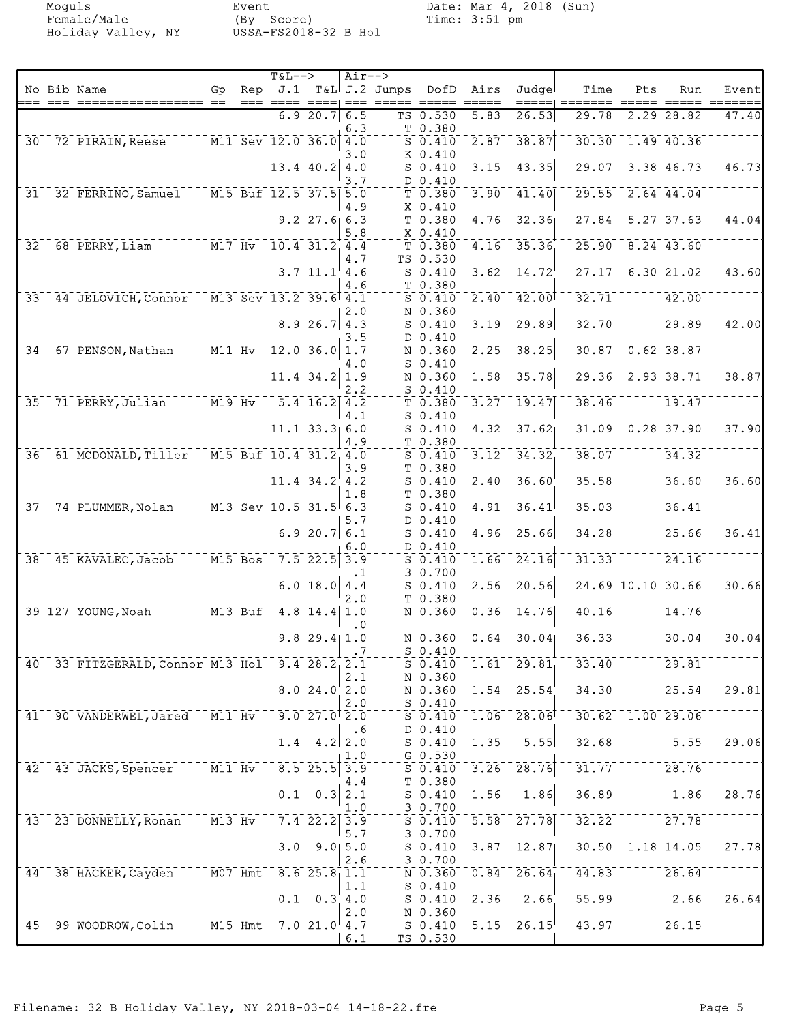Moguls Event Date: Mar 4, 2018 (Sun)<br>Female/Male (By Score) Time: 3:51 pm Female/Male (By Score) Time: 3:51 pm Holiday Valley, NY USSA-FS2018-32 B Hol

|                 |       |                                                                                     |                                                 |      | <b>T&amp;L--&gt;</b>                        |                           | Air-->     |                     |                               |                                |                                          |                      |      |                        |                                      |
|-----------------|-------|-------------------------------------------------------------------------------------|-------------------------------------------------|------|---------------------------------------------|---------------------------|------------|---------------------|-------------------------------|--------------------------------|------------------------------------------|----------------------|------|------------------------|--------------------------------------|
|                 | $===$ | No Bib Name                                                                         | Gp<br>$=$                                       | Repl | $====$                                      |                           |            | $J.1$ T&L J.2 Jumps | DofD                          | Airs                           | Judgel                                   | Time                 | Pts  | Run                    | Event<br>$=$ $=$ $=$ $=$ $=$ $=$ $=$ |
|                 |       |                                                                                     |                                                 |      |                                             | 6.920.7                   | 6.5        |                     | TS 0.530                      | 5.83                           | 26.53                                    | 29.78                | 2.29 | 28.82                  | 47.40                                |
|                 |       |                                                                                     |                                                 |      |                                             |                           | 6.3        |                     | T 0.380                       |                                |                                          |                      |      |                        |                                      |
| $\overline{30}$ |       | 72 PIRAIN, Reese                                                                    |                                                 |      | $\overline{M11}$ Sev $\overline{12.0}$ 36.0 |                           | 4.0        |                     | $S$ 0.410                     | 2.87                           | 38.87                                    | 30.30                |      | $1.49$ 40.36           |                                      |
|                 |       |                                                                                     |                                                 |      |                                             | 13.4 40.2                 | 3.0<br>4.0 |                     | K 0.410<br>$S_0.410$          | 3.15                           | 43.35                                    | 29.07                |      | $3.38$ 46.73           | 46.73                                |
|                 |       |                                                                                     |                                                 |      |                                             |                           | 3.7        |                     | D 0.410                       |                                |                                          |                      |      |                        |                                      |
| 31              |       | 32 FERRINO, Samuel                                                                  |                                                 |      | $M15$ Buf $12.5$ 37.5                       |                           | 5.0        |                     | T 0.380                       | 3.90                           | 41.40                                    | 29.55                |      | $2.64$ 44.04           |                                      |
|                 |       |                                                                                     |                                                 |      |                                             |                           | 4.9        |                     | $X_0.410$                     |                                |                                          |                      |      |                        |                                      |
|                 |       |                                                                                     |                                                 |      |                                             | $9.2$ 27.6 6.3            | 5.8        |                     | T 0.380<br>$X$ 0.410          | 4.76                           | 32.36                                    | 27.84                |      | $5.27$ 37.63           | 44.04                                |
| 32 <sub>1</sub> |       | 68 PERRY, Liam                                                                      | $--- \overline{M17} \overline{Hv}$              |      |                                             | $10.4$ 31.2 4.4           |            |                     | T 0.380                       | 4.16                           | 35.36                                    |                      |      | $25.90$ $8.24$ $43.60$ |                                      |
|                 |       |                                                                                     |                                                 |      |                                             |                           | 4.7        |                     | TS 0.530                      |                                |                                          |                      |      |                        |                                      |
|                 |       |                                                                                     |                                                 |      |                                             | $3.7$ $11.1$ $4.6$        |            |                     | $S_0.410$                     | 3.62                           | 14.72                                    | 27.17                |      | $6.30^{+}$ 21.02       | 43.60                                |
|                 |       | 33 <sup>1</sup> 44 JELOVICH, Connor M13 Sev <sup>1</sup> 13.2 39.6 <sup>1</sup> 4.1 |                                                 |      |                                             |                           | 4.6        |                     | T 0.380                       | $2.40$ <sup>T</sup>            | 42.00                                    | 32.71                |      | 42.00                  |                                      |
|                 |       |                                                                                     |                                                 |      |                                             |                           | 2.0        |                     | $S_0.410$<br>N 0.360          |                                |                                          |                      |      |                        |                                      |
|                 |       |                                                                                     |                                                 |      |                                             | 8.926.74.3                |            |                     | $S_0.410$                     | 3.19                           | 29.89                                    | 32.70                |      | 29.89                  | 42.00                                |
|                 |       |                                                                                     |                                                 |      |                                             |                           | 3.5        |                     | D 0.410                       |                                |                                          |                      |      |                        |                                      |
| $\overline{34}$ |       | 67 PENSON, Nathan                                                                   | $M11$ Hv                                        |      |                                             | $\overline{12.0}$ 36.0    | 1.7        |                     | N 0.360                       | 2.25                           | 38.25                                    | 30.87                |      | $0.62$ 38.87           |                                      |
|                 |       |                                                                                     |                                                 |      |                                             | $11.4$ 34.2               | 4.0<br>1.9 |                     | $S$ 0.410<br>N 0.360          | 1.58                           | 35.78                                    | 29.36                |      | $2.93$ 38.71           | 38.87                                |
|                 |       |                                                                                     |                                                 |      |                                             |                           | 2.2        |                     | $S_0.410$                     |                                |                                          |                      |      |                        |                                      |
| 35              |       | 71 PERRY, Julian M19 Hv                                                             |                                                 |      |                                             | $\overline{5.4}$ 16.2 4.2 |            |                     | T0.380                        | 3.27                           | 19.47                                    | 38.46                |      | 19.47                  |                                      |
|                 |       |                                                                                     |                                                 |      |                                             |                           | 4.1        |                     | $S_0.410$                     |                                |                                          | 31.09                |      | $0.28$ 37.90           | 37.90                                |
|                 |       |                                                                                     |                                                 |      |                                             | $11.1$ 33.3 6.0           | 4.9        |                     | $S_0.410$<br>T 0.380          | 4.32                           | 37.62                                    |                      |      |                        |                                      |
| 36 <sub>1</sub> |       | 61 MCDONALD, Tiller                                                                 |                                                 |      | M15 Buf 10.4 31.2 4.0                       |                           |            |                     | $S_0.410$                     | 3.12                           | $\overline{34.32}$                       | 38.07                |      | 34.32                  |                                      |
|                 |       |                                                                                     |                                                 |      |                                             |                           | 3.9        |                     | T 0.380                       |                                |                                          |                      |      |                        |                                      |
|                 |       |                                                                                     |                                                 |      |                                             | $11.4$ $34.2$ $4.2$       | 1.8        |                     | $S_0.410$<br>T 0.380          | 2.40                           | 36.60                                    | 35.58                |      | 36.60                  | 36.60                                |
|                 |       | 37 <sup>1-74</sup> PLUMMER, Nolan                                                   |                                                 |      | $-$ M13 Sev 10.5 31.5 6.3                   |                           |            |                     | $S_0.410$                     | $4.91$ <sup>T</sup>            | 36.41                                    | 35.03                |      | 36.41                  |                                      |
|                 |       |                                                                                     |                                                 |      |                                             |                           | 5.7        |                     | D 0.410                       |                                |                                          |                      |      |                        |                                      |
|                 |       |                                                                                     |                                                 |      |                                             | 6.920.7                   | 6.1        |                     | $S_0.410$                     | 4.96                           | 25.66                                    | 34.28                |      | 25.66                  | 36.41                                |
| $\overline{38}$ |       | 45 KAVALEC, Jacob                                                                   | $\overline{M15}$ Bos                            |      |                                             | $7.5$ 22.5                | 6.0<br>3.9 |                     | D 0.410<br>$S$ 0.410          | 1.66                           | 24.16                                    | 31.33                |      | 24.16                  |                                      |
|                 |       |                                                                                     |                                                 |      |                                             |                           | $\cdot$ 1  |                     | 3 0.700                       |                                |                                          |                      |      |                        |                                      |
|                 |       |                                                                                     |                                                 |      |                                             | 6.0 18.0                  | 4.4        |                     | $S_0.410$                     | 2.56                           | 20.56                                    |                      |      | 24.69 10.10 30.66      | 30.66                                |
|                 |       | 39 127 YOUNG, Noah M13 Buf                                                          |                                                 |      |                                             | $4.8$ 14.4                | 2.0<br>1.0 |                     | T 0.380<br>$N$ 0.360          | 0.36                           | 14.76                                    | 40.16                |      | 14.76                  |                                      |
|                 |       |                                                                                     |                                                 |      |                                             |                           | $\cdot$ 0  |                     |                               |                                |                                          |                      |      |                        |                                      |
|                 |       |                                                                                     |                                                 |      |                                             | $9.8$ 29.4 1.0            |            |                     | N 0.360                       | 0.64                           | 30.04                                    | 36.33                |      | 30.04                  | 30.04                                |
|                 |       |                                                                                     |                                                 |      |                                             |                           |            |                     | $S_0.410$                     |                                |                                          |                      |      |                        |                                      |
|                 |       | 40, 33 FITZGERALD, Connor M13 Hol, 9.4 28.2, 2.1                                    |                                                 |      |                                             |                           | 2.1        |                     | $S_0.410$<br>N 0.360          | 1.61                           | 29.81                                    | 33.40                |      | 29.81                  |                                      |
|                 |       |                                                                                     |                                                 |      |                                             | 8.024.02.0                |            |                     | $N$ 0.360 1.54                |                                | 25.54                                    | 34.30                |      | 25.54                  | 29.81                                |
|                 |       |                                                                                     |                                                 |      |                                             |                           | 2.0        |                     | $S_0.410$                     |                                |                                          |                      |      |                        |                                      |
|                 |       | 41 <sup>+</sup> 90 VANDERWEL, Jared                                                 | $\overline{M11}$ Hv                             |      |                                             | $9.0$ $27.0$ $2.0$        |            |                     | $S_0.410$                     |                                | $1.06$ <sup>+</sup> $28.06$ <sup>†</sup> |                      |      | $30.62 - 1.00$ $29.06$ |                                      |
|                 |       |                                                                                     |                                                 |      | 1.4                                         | 4.2                       | . 6<br>2.0 |                     | D 0.410<br>$S$ 0.410          | 1.35                           | 5.55                                     | 32.68                |      | 5.55                   | 29.06                                |
|                 |       |                                                                                     |                                                 |      |                                             |                           | 1.0        |                     | $G$ 0.530                     |                                |                                          |                      |      |                        |                                      |
| 42              |       | 43 JACKS, Spencer                                                                   | $M11$ $Hv$                                      |      |                                             | $8.5$ 25.5                | 3.9        |                     | $S_0.410$                     | 3.26                           | 28.76                                    | $31.77$ <sup>-</sup> |      | 28.76                  |                                      |
|                 |       |                                                                                     |                                                 |      | 0.1                                         | 0.3                       | 4.4<br>2.1 |                     | T 0.380<br>S <sub>0.410</sub> | 1.56                           | 1.86                                     | 36.89                |      | 1.86                   | 28.76                                |
|                 |       |                                                                                     |                                                 |      |                                             |                           | 1.0        |                     | 3 0.700                       |                                |                                          |                      |      |                        |                                      |
| 431             |       | 23 DONNELLY, Ronan                                                                  | $M13$ Hv                                        |      |                                             | $7.4$ 22.2                | 3.9        |                     | $S$ 0.410                     | 5.58                           | $\overline{27.78}$                       | 32.22                |      | 27.78                  |                                      |
|                 |       |                                                                                     |                                                 |      |                                             |                           | 5.7        |                     | 30.700                        |                                |                                          |                      |      |                        |                                      |
|                 |       |                                                                                     |                                                 |      |                                             | $3.0$ $9.0$ $5.0$         | 2.6        |                     | $S_0.410$<br>3 0.700          | 3.87                           | 12.87                                    | 30.50                |      | 1.18 14.05             | 27.78                                |
| 44 <sub>1</sub> |       | 38 HACKER, Cayden                                                                   | $ \overline{M07}$ $\overline{Hm}$ t             |      |                                             | 8.625.811.1               |            |                     | N 0.360                       | 0.84                           | 26.64                                    | 44.83                |      | 26.64                  |                                      |
|                 |       |                                                                                     |                                                 |      |                                             |                           | 1.1        |                     | $S_0.410$                     |                                |                                          |                      |      |                        |                                      |
|                 |       |                                                                                     |                                                 |      |                                             | $0.1 \quad 0.3 \quad 4.0$ | 2.0        |                     | $S_0.410$<br>N 0.360          | 2.36                           | 2.66                                     | 55.99                |      | 2.66                   | 26.64                                |
|                 |       | 45 <sup>1</sup> 99 WOODROW, Colin                                                   | $ \overline{M15}$ $\overline{Hm}t$ <sup>T</sup> |      |                                             | 7.021.04.7                |            |                     | $S$ $0.410$                   | $\overline{5.15}$ <sup>T</sup> | $26.15$ <sup>T</sup>                     | $-7.3.97$            |      | 26.15                  |                                      |
|                 |       |                                                                                     |                                                 |      |                                             |                           | 6.1        |                     | TS 0.530                      |                                |                                          |                      |      |                        |                                      |